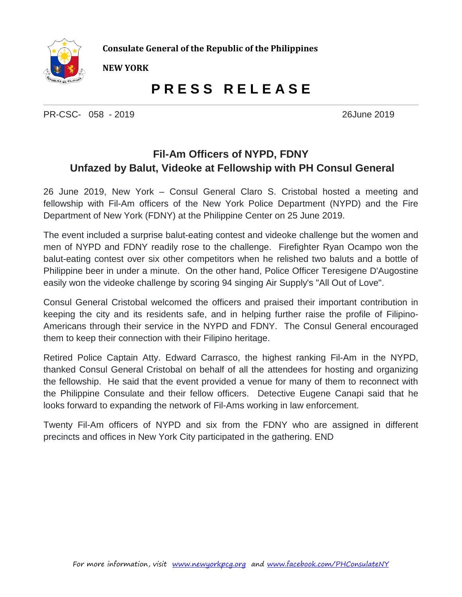

**Consulate General of the Republic of the Philippines**

**NEW YORK**

## **P R E S S R E L E A S E**

PR-CSC- 058 - 2019 26June 2019

## **Fil-Am Officers of NYPD, FDNY Unfazed by Balut, Videoke at Fellowship with PH Consul General**

26 June 2019, New York – Consul General Claro S. Cristobal hosted a meeting and fellowship with Fil-Am officers of the New York Police Department (NYPD) and the Fire Department of New York (FDNY) at the Philippine Center on 25 June 2019.

The event included a surprise balut-eating contest and videoke challenge but the women and men of NYPD and FDNY readily rose to the challenge. Firefighter Ryan Ocampo won the balut-eating contest over six other competitors when he relished two baluts and a bottle of Philippine beer in under a minute. On the other hand, Police Officer Teresigene D'Augostine easily won the videoke challenge by scoring 94 singing Air Supply's "All Out of Love".

Consul General Cristobal welcomed the officers and praised their important contribution in keeping the city and its residents safe, and in helping further raise the profile of Filipino-Americans through their service in the NYPD and FDNY. The Consul General encouraged them to keep their connection with their Filipino heritage.

Retired Police Captain Atty. Edward Carrasco, the highest ranking Fil-Am in the NYPD, thanked Consul General Cristobal on behalf of all the attendees for hosting and organizing the fellowship. He said that the event provided a venue for many of them to reconnect with the Philippine Consulate and their fellow officers. Detective Eugene Canapi said that he looks forward to expanding the network of Fil-Ams working in law enforcement.

Twenty Fil-Am officers of NYPD and six from the FDNY who are assigned in different precincts and offices in New York City participated in the gathering. END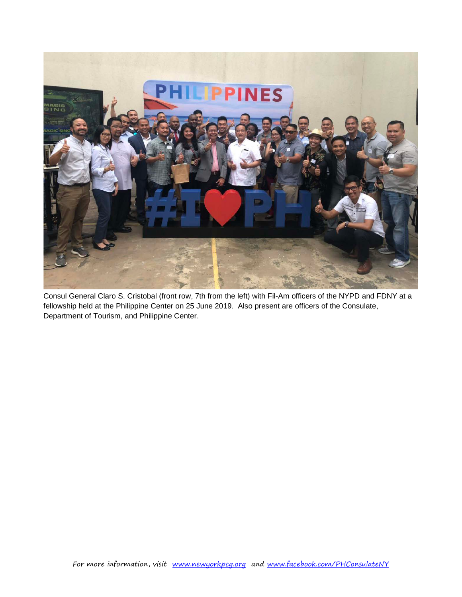

Consul General Claro S. Cristobal (front row, 7th from the left) with Fil-Am officers of the NYPD and FDNY at a fellowship held at the Philippine Center on 25 June 2019. Also present are officers of the Consulate, Department of Tourism, and Philippine Center.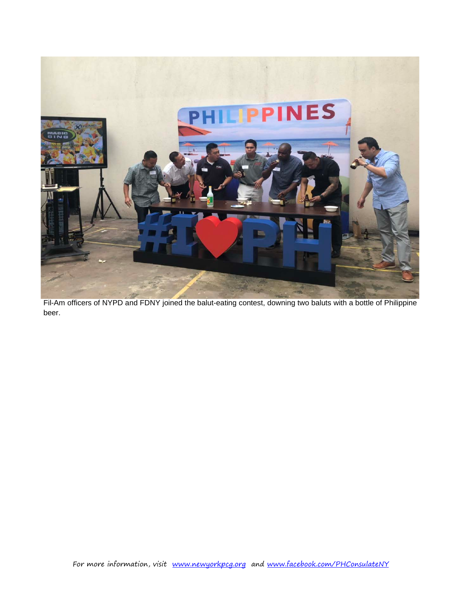

Fil-Am officers of NYPD and FDNY joined the balut-eating contest, downing two baluts with a bottle of Philippine beer.